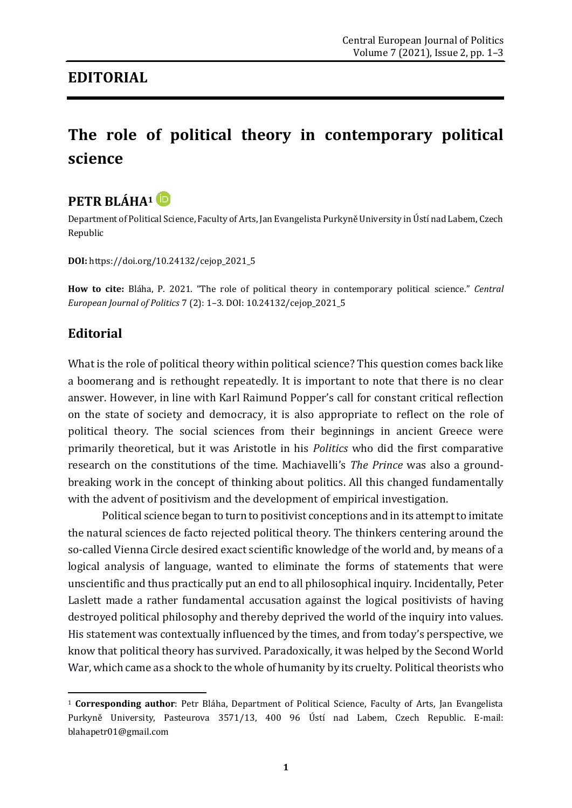## **EDITORIAL**

## **The role of political theory in contemporary political science**



Department of Political Science, Faculty of Arts, Jan Evangelista Purkyně University in Ústí nad Labem, Czech Republic

**DOI:** [https://doi.org/10.24132/c](https://doi.org/10.24132/)ejop\_2021\_5

**How to cite:** Bláha, P. 2021. "The role of political theory in contemporary political science." *Central European Journal of Politics* 7 (2): 1–3. DOI: 10.24132/cejop\_2021\_5

## **Editorial**

**.** 

What is the role of political theory within political science? This question comes back like a boomerang and is rethought repeatedly. It is important to note that there is no clear answer. However, in line with Karl Raimund Popper's call for constant critical reflection on the state of society and democracy, it is also appropriate to reflect on the role of political theory. The social sciences from their beginnings in ancient Greece were primarily theoretical, but it was Aristotle in his *Politics* who did the first comparative research on the constitutions of the time. Machiavelli's *The Prince* was also a groundbreaking work in the concept of thinking about politics. All this changed fundamentally with the advent of positivism and the development of empirical investigation.

Political science began to turn to positivist conceptions and in its attempt to imitate the natural sciences de facto rejected political theory. The thinkers centering around the so-called Vienna Circle desired exact scientific knowledge of the world and, by means of a logical analysis of language, wanted to eliminate the forms of statements that were unscientific and thus practically put an end to all philosophical inquiry. Incidentally, Peter Laslett made a rather fundamental accusation against the logical positivists of having destroyed political philosophy and thereby deprived the world of the inquiry into values. His statement was contextually influenced by the times, and from today's perspective, we know that political theory has survived. Paradoxically, it was helped by the Second World War, which came as a shock to the whole of humanity by its cruelty. Political theorists who

<sup>1</sup> **Corresponding author**: Petr Bláha, Department of Political Science, Faculty of Arts, Jan Evangelista Purkyně University, Pasteurova 3571/13, 400 96 Ústí nad Labem, Czech Republic. E-mail: blahapetr01@gmail.com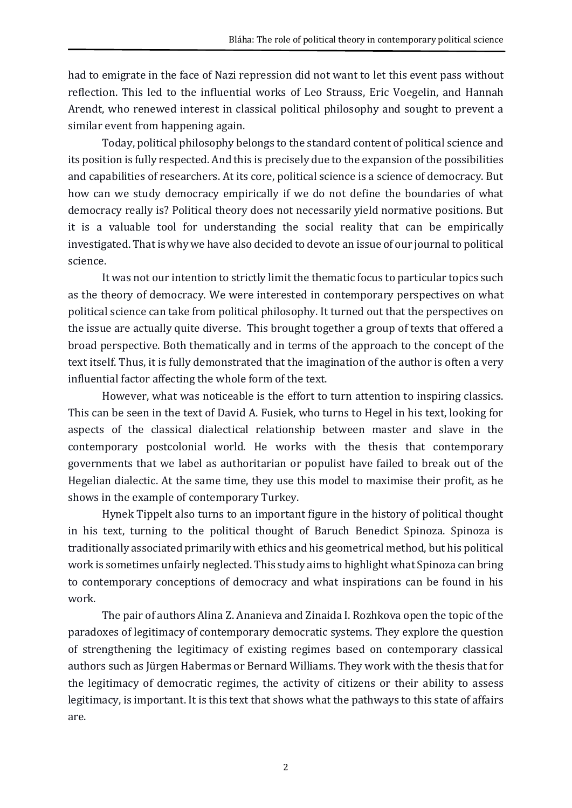had to emigrate in the face of Nazi repression did not want to let this event pass without reflection. This led to the influential works of Leo Strauss, Eric Voegelin, and Hannah Arendt, who renewed interest in classical political philosophy and sought to prevent a similar event from happening again.

Today, political philosophy belongs to the standard content of political science and its position is fully respected. And this is precisely due to the expansion of the possibilities and capabilities of researchers. At its core, political science is a science of democracy. But how can we study democracy empirically if we do not define the boundaries of what democracy really is? Political theory does not necessarily yield normative positions. But it is a valuable tool for understanding the social reality that can be empirically investigated. That is why we have also decided to devote an issue of our journal to political science.

It was not our intention to strictly limit the thematic focus to particular topics such as the theory of democracy. We were interested in contemporary perspectives on what political science can take from political philosophy. It turned out that the perspectives on the issue are actually quite diverse. This brought together a group of texts that offered a broad perspective. Both thematically and in terms of the approach to the concept of the text itself. Thus, it is fully demonstrated that the imagination of the author is often a very influential factor affecting the whole form of the text.

However, what was noticeable is the effort to turn attention to inspiring classics. This can be seen in the text of David A. Fusiek, who turns to Hegel in his text, looking for aspects of the classical dialectical relationship between master and slave in the contemporary postcolonial world. He works with the thesis that contemporary governments that we label as authoritarian or populist have failed to break out of the Hegelian dialectic. At the same time, they use this model to maximise their profit, as he shows in the example of contemporary Turkey.

Hynek Tippelt also turns to an important figure in the history of political thought in his text, turning to the political thought of Baruch Benedict Spinoza. Spinoza is traditionally associated primarily with ethics and his geometrical method, but his political work is sometimes unfairly neglected. This study aims to highlight what Spinoza can bring to contemporary conceptions of democracy and what inspirations can be found in his work.

The pair of authors Alina Z. Ananieva and Zinaida I. Rozhkova open the topic of the paradoxes of legitimacy of contemporary democratic systems. They explore the question of strengthening the legitimacy of existing regimes based on contemporary classical authors such as Jürgen Habermas or Bernard Williams. They work with the thesis that for the legitimacy of democratic regimes, the activity of citizens or their ability to assess legitimacy, is important. It is this text that shows what the pathways to this state of affairs are.